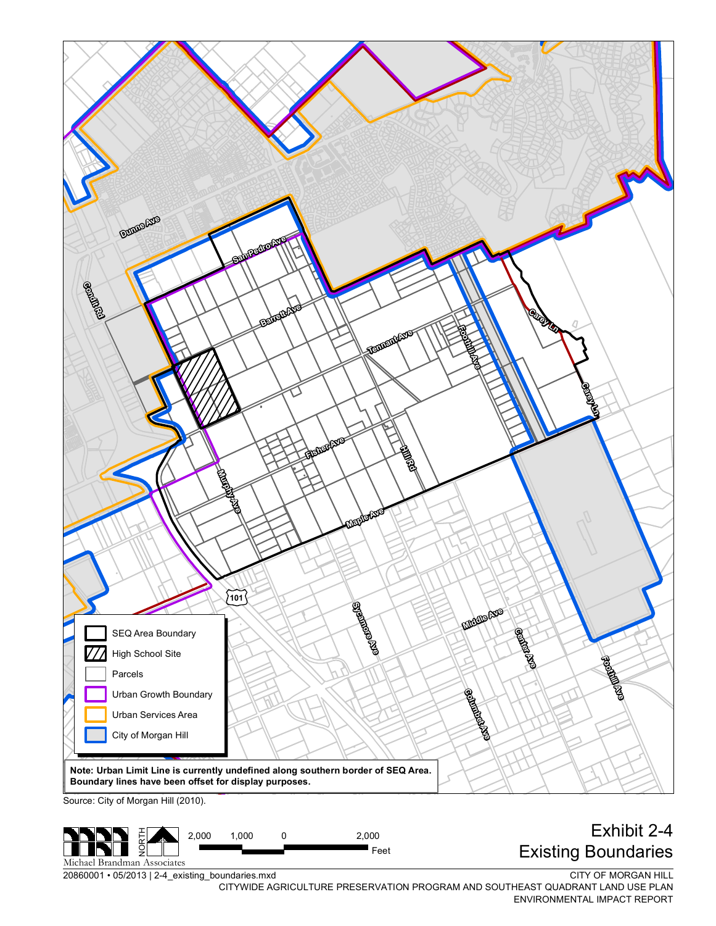

20860001 • 05/2013 | 2-4\_existing\_boundaries.mxd Michael Brandman Associates

z

CITY OF MORGAN HILL CITYWIDE AGRICULTURE PRESERVATION PROGRAM AND SOUTHEAST QUADRANT LAND USE PLAN ENVIRONMENTAL IMPACT REPORT

 $\blacksquare$  Feet